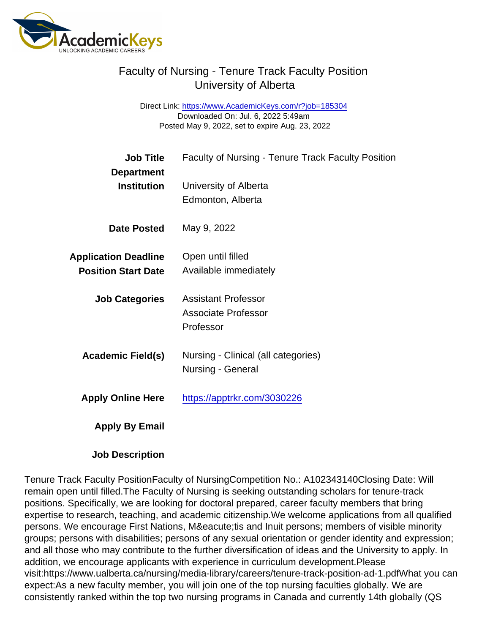## Faculty of Nursing - Tenure Track Faculty Position University of Alberta

Direct Link: <https://www.AcademicKeys.com/r?job=185304> Downloaded On: Jul. 6, 2022 5:49am Posted May 9, 2022, set to expire Aug. 23, 2022

| <b>Job Title</b>                                          | <b>Faculty of Nursing - Tenure Track Faculty Position</b>      |
|-----------------------------------------------------------|----------------------------------------------------------------|
| Department<br>Institution                                 | University of Alberta<br>Edmonton, Alberta                     |
| Date Posted                                               | May 9, 2022                                                    |
| <b>Application Deadline</b><br><b>Position Start Date</b> | Open until filled<br>Available immediately                     |
| <b>Job Categories</b>                                     | <b>Assistant Professor</b><br>Associate Professor<br>Professor |
| Academic Field(s)                                         | Nursing - Clinical (all categories)<br>Nursing - General       |
| <b>Apply Online Here</b>                                  | https://apptrkr.com/3030226                                    |
| Apply By Email                                            |                                                                |

Job Description

Tenure Track Faculty PositionFaculty of NursingCompetition No.: A102343140Closing Date: Will remain open until filled.The Faculty of Nursing is seeking outstanding scholars for tenure-track positions. Specifically, we are looking for doctoral prepared, career faculty members that bring expertise to research, teaching, and academic citizenship.We welcome applications from all qualified persons. We encourage First Nations, Métis and Inuit persons; members of visible minority groups; persons with disabilities; persons of any sexual orientation or gender identity and expression; and all those who may contribute to the further diversification of ideas and the University to apply. In addition, we encourage applicants with experience in curriculum development.Please visit:https://www.ualberta.ca/nursing/media-library/careers/tenure-track-position-ad-1.pdfWhat you can expect:As a new faculty member, you will join one of the top nursing faculties globally. We are consistently ranked within the top two nursing programs in Canada and currently 14th globally (QS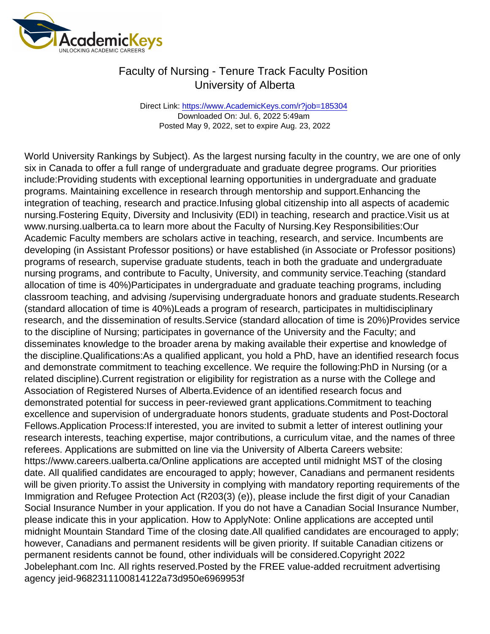## Faculty of Nursing - Tenure Track Faculty Position University of Alberta

Direct Link: <https://www.AcademicKeys.com/r?job=185304> Downloaded On: Jul. 6, 2022 5:49am Posted May 9, 2022, set to expire Aug. 23, 2022

World University Rankings by Subject). As the largest nursing faculty in the country, we are one of only six in Canada to offer a full range of undergraduate and graduate degree programs. Our priorities include:Providing students with exceptional learning opportunities in undergraduate and graduate programs. Maintaining excellence in research through mentorship and support.Enhancing the integration of teaching, research and practice.Infusing global citizenship into all aspects of academic nursing.Fostering Equity, Diversity and Inclusivity (EDI) in teaching, research and practice.Visit us at www.nursing.ualberta.ca to learn more about the Faculty of Nursing.Key Responsibilities:Our Academic Faculty members are scholars active in teaching, research, and service. Incumbents are developing (in Assistant Professor positions) or have established (in Associate or Professor positions) programs of research, supervise graduate students, teach in both the graduate and undergraduate nursing programs, and contribute to Faculty, University, and community service.Teaching (standard allocation of time is 40%)Participates in undergraduate and graduate teaching programs, including classroom teaching, and advising /supervising undergraduate honors and graduate students.Research (standard allocation of time is 40%)Leads a program of research, participates in multidisciplinary research, and the dissemination of results.Service (standard allocation of time is 20%)Provides service to the discipline of Nursing; participates in governance of the University and the Faculty; and disseminates knowledge to the broader arena by making available their expertise and knowledge of the discipline.Qualifications:As a qualified applicant, you hold a PhD, have an identified research focus and demonstrate commitment to teaching excellence. We require the following:PhD in Nursing (or a related discipline).Current registration or eligibility for registration as a nurse with the College and Association of Registered Nurses of Alberta.Evidence of an identified research focus and demonstrated potential for success in peer-reviewed grant applications.Commitment to teaching excellence and supervision of undergraduate honors students, graduate students and Post-Doctoral Fellows.Application Process:If interested, you are invited to submit a letter of interest outlining your research interests, teaching expertise, major contributions, a curriculum vitae, and the names of three referees. Applications are submitted on line via the University of Alberta Careers website: https://www.careers.ualberta.ca/Online applications are accepted until midnight MST of the closing date. All qualified candidates are encouraged to apply; however, Canadians and permanent residents will be given priority.To assist the University in complying with mandatory reporting requirements of the Immigration and Refugee Protection Act (R203(3) (e)), please include the first digit of your Canadian Social Insurance Number in your application. If you do not have a Canadian Social Insurance Number, please indicate this in your application. How to ApplyNote: Online applications are accepted until midnight Mountain Standard Time of the closing date.All qualified candidates are encouraged to apply; however, Canadians and permanent residents will be given priority. If suitable Canadian citizens or permanent residents cannot be found, other individuals will be considered.Copyright 2022 Jobelephant.com Inc. All rights reserved.Posted by the FREE value-added recruitment advertising agency jeid-9682311100814122a73d950e6969953f